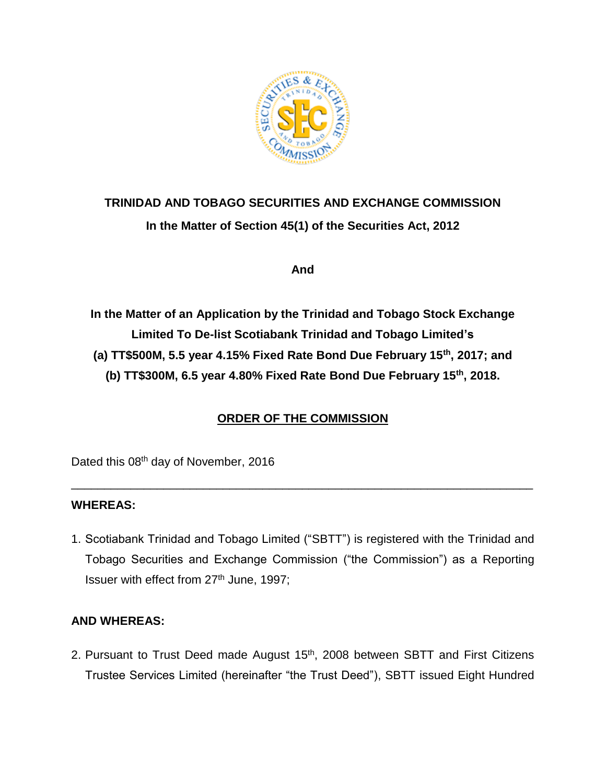

# **TRINIDAD AND TOBAGO SECURITIES AND EXCHANGE COMMISSION In the Matter of Section 45(1) of the Securities Act, 2012**

**And**

**In the Matter of an Application by the Trinidad and Tobago Stock Exchange Limited To De-list Scotiabank Trinidad and Tobago Limited's (a) TT\$500M, 5.5 year 4.15% Fixed Rate Bond Due February 15th, 2017; and (b) TT\$300M, 6.5 year 4.80% Fixed Rate Bond Due February 15th, 2018.** 

## **ORDER OF THE COMMISSION**

\_\_\_\_\_\_\_\_\_\_\_\_\_\_\_\_\_\_\_\_\_\_\_\_\_\_\_\_\_\_\_\_\_\_\_\_\_\_\_\_\_\_\_\_\_\_\_\_\_\_\_\_\_\_\_\_\_\_\_\_\_\_\_\_\_\_\_\_\_\_

Dated this 08<sup>th</sup> day of November, 2016

#### **WHEREAS:**

1. Scotiabank Trinidad and Tobago Limited ("SBTT") is registered with the Trinidad and Tobago Securities and Exchange Commission ("the Commission") as a Reporting Issuer with effect from 27th June, 1997;

#### **AND WHEREAS:**

2. Pursuant to Trust Deed made August 15<sup>th</sup>, 2008 between SBTT and First Citizens Trustee Services Limited (hereinafter "the Trust Deed"), SBTT issued Eight Hundred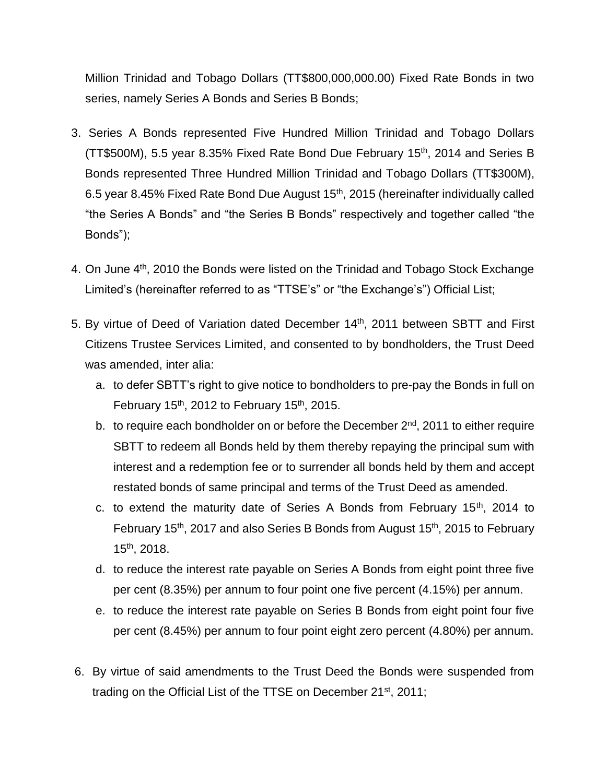Million Trinidad and Tobago Dollars (TT\$800,000,000.00) Fixed Rate Bonds in two series, namely Series A Bonds and Series B Bonds;

- 3. Series A Bonds represented Five Hundred Million Trinidad and Tobago Dollars (TT\$500M), 5.5 year 8.35% Fixed Rate Bond Due February 15th , 2014 and Series B Bonds represented Three Hundred Million Trinidad and Tobago Dollars (TT\$300M), 6.5 year 8.45% Fixed Rate Bond Due August 15<sup>th</sup>, 2015 (hereinafter individually called "the Series A Bonds" and "the Series B Bonds" respectively and together called "the Bonds");
- 4. On June 4<sup>th</sup>, 2010 the Bonds were listed on the Trinidad and Tobago Stock Exchange Limited's (hereinafter referred to as "TTSE's" or "the Exchange's") Official List;
- 5. By virtue of Deed of Variation dated December 14<sup>th</sup>, 2011 between SBTT and First Citizens Trustee Services Limited, and consented to by bondholders, the Trust Deed was amended, inter alia:
	- a. to defer SBTT's right to give notice to bondholders to pre-pay the Bonds in full on February  $15<sup>th</sup>$ , 2012 to February 15<sup>th</sup>, 2015.
	- b. to require each bondholder on or before the December 2<sup>nd</sup>, 2011 to either require SBTT to redeem all Bonds held by them thereby repaying the principal sum with interest and a redemption fee or to surrender all bonds held by them and accept restated bonds of same principal and terms of the Trust Deed as amended.
	- c. to extend the maturity date of Series A Bonds from February 15<sup>th</sup>, 2014 to February 15<sup>th</sup>, 2017 and also Series B Bonds from August 15<sup>th</sup>, 2015 to February 15th , 2018.
	- d. to reduce the interest rate payable on Series A Bonds from eight point three five per cent (8.35%) per annum to four point one five percent (4.15%) per annum.
	- e. to reduce the interest rate payable on Series B Bonds from eight point four five per cent (8.45%) per annum to four point eight zero percent (4.80%) per annum.
- 6. By virtue of said amendments to the Trust Deed the Bonds were suspended from trading on the Official List of the TTSE on December 21<sup>st</sup>, 2011;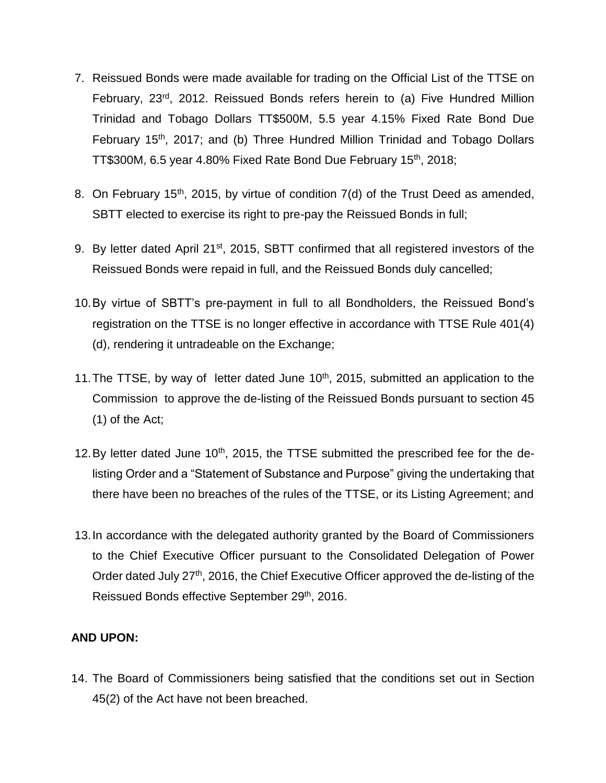- 7. Reissued Bonds were made available for trading on the Official List of the TTSE on February, 23rd, 2012. Reissued Bonds refers herein to (a) Five Hundred Million Trinidad and Tobago Dollars TT\$500M, 5.5 year 4.15% Fixed Rate Bond Due February 15th, 2017; and (b) Three Hundred Million Trinidad and Tobago Dollars TT\$300M, 6.5 year 4.80% Fixed Rate Bond Due February 15th, 2018;
- 8. On February 15<sup>th</sup>, 2015, by virtue of condition 7(d) of the Trust Deed as amended, SBTT elected to exercise its right to pre-pay the Reissued Bonds in full;
- 9. By letter dated April 21<sup>st</sup>, 2015, SBTT confirmed that all registered investors of the Reissued Bonds were repaid in full, and the Reissued Bonds duly cancelled;
- 10.By virtue of SBTT's pre-payment in full to all Bondholders, the Reissued Bond's registration on the TTSE is no longer effective in accordance with TTSE Rule 401(4) (d), rendering it untradeable on the Exchange;
- 11. The TTSE, by way of letter dated June 10<sup>th</sup>, 2015, submitted an application to the Commission to approve the de-listing of the Reissued Bonds pursuant to section 45 (1) of the Act;
- 12. By letter dated June 10<sup>th</sup>, 2015, the TTSE submitted the prescribed fee for the delisting Order and a "Statement of Substance and Purpose" giving the undertaking that there have been no breaches of the rules of the TTSE, or its Listing Agreement; and
- 13.In accordance with the delegated authority granted by the Board of Commissioners to the Chief Executive Officer pursuant to the Consolidated Delegation of Power Order dated July 27<sup>th</sup>, 2016, the Chief Executive Officer approved the de-listing of the Reissued Bonds effective September 29th, 2016.

#### **AND UPON:**

14. The Board of Commissioners being satisfied that the conditions set out in Section 45(2) of the Act have not been breached.